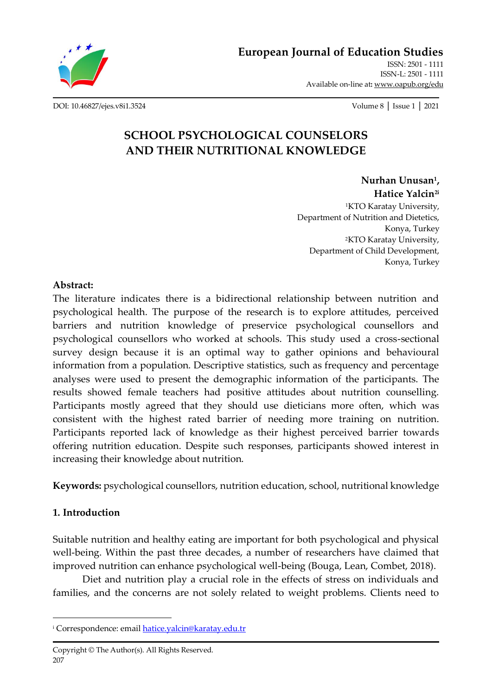

**[European Journal of Education Studies](http://oapub.org/edu/index.php/ejes)** [ISSN: 2501 -](http://oapub.org/edu/index.php/ejes) 1111 [ISSN-L: 2501 -](http://oapub.org/edu/index.php/ejes) 1111

Available on-line at**:** [www.oapub.org/edu](http://www.oapub.org/edu)

[DOI: 10.46827/ejes.v8i1.3524](http://dx.doi.org/10.46827/ejes.v8i1.3524) Volume 8 │ Issue 1 │ 2021

# **SCHOOL PSYCHOLOGICAL COUNSELORS AND THEIR NUTRITIONAL KNOWLEDGE**

**Nurhan Unusan<sup>1</sup> , Hatice Yalcin2i**

<sup>1</sup>KTO Karatay University, Department of Nutrition and Dietetics, Konya, Turkey <sup>2</sup>KTO Karatay University, Department of Child Development, Konya, Turkey

## **Abstract:**

The literature indicates there is a bidirectional relationship between nutrition and psychological health. The purpose of the research is to explore attitudes, perceived barriers and nutrition knowledge of preservice psychological counsellors and psychological counsellors who worked at schools. This study used a cross-sectional survey design because it is an optimal way to gather opinions and behavioural information from a population. Descriptive statistics, such as frequency and percentage analyses were used to present the demographic information of the participants. The results showed female teachers had positive attitudes about nutrition counselling. Participants mostly agreed that they should use dieticians more often, which was consistent with the highest rated barrier of needing more training on nutrition. Participants reported lack of knowledge as their highest perceived barrier towards offering nutrition education. Despite such responses, participants showed interest in increasing their knowledge about nutrition.

**Keywords:** psychological counsellors, nutrition education, school, nutritional knowledge

## **1. Introduction**

Suitable nutrition and healthy eating are important for both psychological and physical well-being. Within the past three decades, a number of researchers have claimed that improved nutrition can enhance psychological well-being (Bouga, Lean, Combet, 2018).

Diet and nutrition play a crucial role in the effects of stress on individuals and families, and the concerns are not solely related to weight problems. Clients need to

<sup>&</sup>lt;sup>i</sup> Correspondence: emai[l hatice.yalcin@karatay.edu.tr](mailto:hatice.yalcin@karatay.edu.tr)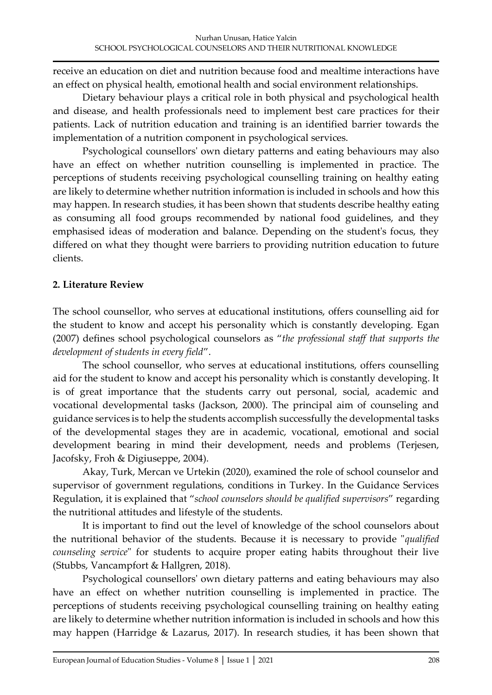receive an education on diet and nutrition because food and mealtime interactions have an effect on physical health, emotional health and social environment relationships.

Dietary behaviour plays a critical role in both physical and psychological health and disease, and health professionals need to implement best care practices for their patients. Lack of nutrition education and training is an identified barrier towards the implementation of a nutrition component in psychological services.

Psychological counsellors' own dietary patterns and eating behaviours may also have an effect on whether nutrition counselling is implemented in practice. The perceptions of students receiving psychological counselling training on healthy eating are likely to determine whether nutrition information is included in schools and how this may happen. In research studies, it has been shown that students describe healthy eating as consuming all food groups recommended by national food guidelines, and they emphasised ideas of moderation and balance. Depending on the student's focus, they differed on what they thought were barriers to providing nutrition education to future clients.

## **2. Literature Review**

The school counsellor, who serves at educational institutions, offers counselling aid for the student to know and accept his personality which is constantly developing. Egan (2007) defines school psychological counselors as "*the professional staff that supports the development of students in every field*".

The school counsellor, who serves at educational institutions, offers counselling aid for the student to know and accept his personality which is constantly developing. It is of great importance that the students carry out personal, social, academic and vocational developmental tasks (Jackson, 2000). The principal aim of counseling and guidance services is to help the students accomplish successfully the developmental tasks of the developmental stages they are in academic, vocational, emotional and social development bearing in mind their development, needs and problems (Terjesen, Jacofsky, Froh & Digiuseppe, 2004).

Akay, Turk, Mercan ve Urtekin (2020), examined the role of school counselor and supervisor of government regulations, conditions in Turkey. In the Guidance Services Regulation, it is explained that "*school counselors should be qualified supervisors*" regarding the nutritional attitudes and lifestyle of the students.

It is important to find out the level of knowledge of the school counselors about the nutritional behavior of the students. Because it is necessary to provide "*qualified counseling service*" for students to acquire proper eating habits throughout their live (Stubbs, Vancampfort & Hallgren, 2018).

Psychological counsellors' own dietary patterns and eating behaviours may also have an effect on whether nutrition counselling is implemented in practice. The perceptions of students receiving psychological counselling training on healthy eating are likely to determine whether nutrition information is included in schools and how this may happen (Harridge & Lazarus, 2017). In research studies, it has been shown that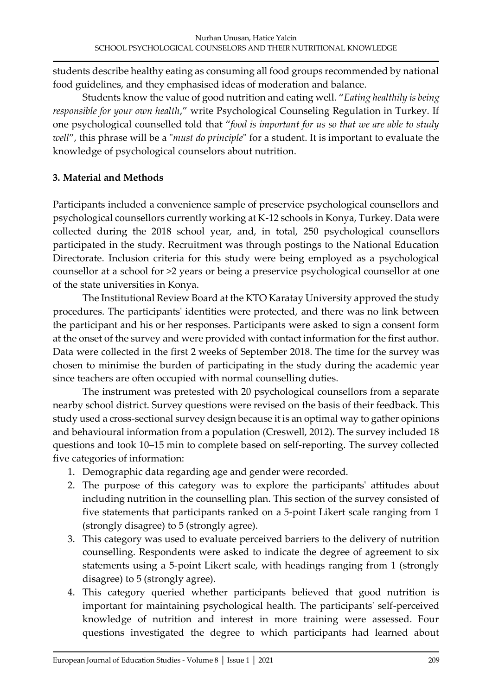students describe healthy eating as consuming all food groups recommended by national food guidelines, and they emphasised ideas of moderation and balance.

Students know the value of good nutrition and eating well. "*Eating healthily is being responsible for your own health*," write Psychological Counseling Regulation in Turkey. If one psychological counselled told that "*food is important for us so that we are able to study well*", this phrase will be a "*must do principle*" for a student. It is important to evaluate the knowledge of psychological counselors about nutrition.

## **3. Material and Methods**

Participants included a convenience sample of preservice psychological counsellors and psychological counsellors currently working at K-12 schools in Konya, Turkey. Data were collected during the 2018 school year, and, in total, 250 psychological counsellors participated in the study. Recruitment was through postings to the National Education Directorate. Inclusion criteria for this study were being employed as a psychological counsellor at a school for >2 years or being a preservice psychological counsellor at one of the state universities in Konya.

The Institutional Review Board at the KTO Karatay University approved the study procedures. The participants' identities were protected, and there was no link between the participant and his or her responses. Participants were asked to sign a consent form at the onset of the survey and were provided with contact information for the first author. Data were collected in the first 2 weeks of September 2018. The time for the survey was chosen to minimise the burden of participating in the study during the academic year since teachers are often occupied with normal counselling duties.

The instrument was pretested with 20 psychological counsellors from a separate nearby school district. Survey questions were revised on the basis of their feedback. This study used a cross-sectional survey design because it is an optimal way to gather opinions and behavioural information from a population (Creswell, 2012). The survey included 18 questions and took 10–15 min to complete based on self-reporting. The survey collected five categories of information:

- 1. Demographic data regarding age and gender were recorded.
- 2. The purpose of this category was to explore the participants' attitudes about including nutrition in the counselling plan. This section of the survey consisted of five statements that participants ranked on a 5-point Likert scale ranging from 1 (strongly disagree) to 5 (strongly agree).
- 3. This category was used to evaluate perceived barriers to the delivery of nutrition counselling. Respondents were asked to indicate the degree of agreement to six statements using a 5-point Likert scale, with headings ranging from 1 (strongly disagree) to 5 (strongly agree).
- 4. This category queried whether participants believed that good nutrition is important for maintaining psychological health. The participants' self-perceived knowledge of nutrition and interest in more training were assessed. Four questions investigated the degree to which participants had learned about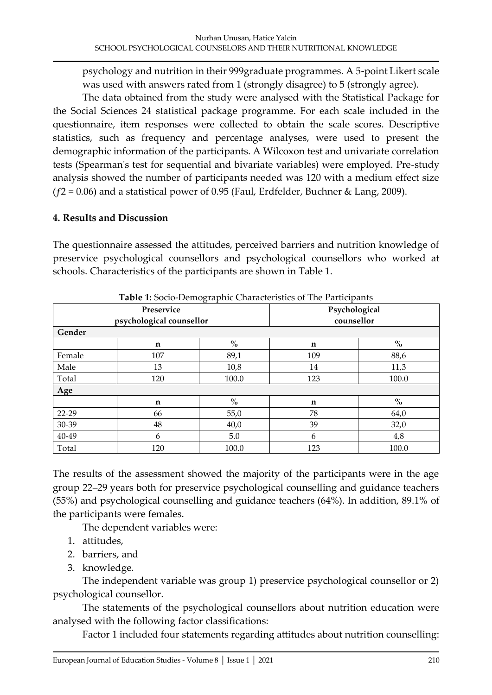psychology and nutrition in their 999graduate programmes. A 5-point Likert scale was used with answers rated from 1 (strongly disagree) to 5 (strongly agree).

The data obtained from the study were analysed with the Statistical Package for the Social Sciences 24 statistical package programme. For each scale included in the questionnaire, item responses were collected to obtain the scale scores. Descriptive statistics, such as frequency and percentage analyses, were used to present the demographic information of the participants. A Wilcoxon test and univariate correlation tests (Spearman's test for sequential and bivariate variables) were employed. Pre-study analysis showed the number of participants needed was 120 with a medium effect size  $(f2 = 0.06)$  and a statistical power of 0.95 (Faul, Erdfelder, Buchner & Lang, 2009).

#### **4. Results and Discussion**

The questionnaire assessed the attitudes, perceived barriers and nutrition knowledge of preservice psychological counsellors and psychological counsellors who worked at schools. Characteristics of the participants are shown in Table 1.

|                          | Preservice  | Psychological                      |            |                                    |  |
|--------------------------|-------------|------------------------------------|------------|------------------------------------|--|
| psychological counsellor |             |                                    | counsellor |                                    |  |
| Gender                   |             |                                    |            |                                    |  |
|                          | $\mathbf n$ | $\mathbf{0}_{\mathbf{0}}^{\prime}$ | n          | $\mathbf{O}_{\mathbf{O}}^{\prime}$ |  |
| Female                   | 107         | 89,1                               | 109        | 88,6                               |  |
| Male                     | 13          | 10,8                               | 14         | 11,3                               |  |
| Total                    | 120         | 100.0                              | 123        | 100.0                              |  |
| Age                      |             |                                    |            |                                    |  |
|                          | n           | $\frac{0}{0}$                      | n          | $\%$                               |  |
| 22-29                    | 66          | 55,0                               | 78         | 64,0                               |  |
| 30-39                    | 48          | 40,0                               | 39         | 32,0                               |  |
| 40-49                    | 6           | 5.0                                | 6          | 4,8                                |  |
| Total                    | 120         | 100.0                              | 123        | 100.0                              |  |

**Table 1:** Socio-Demographic Characteristics of The Participants

The results of the assessment showed the majority of the participants were in the age group 22–29 years both for preservice psychological counselling and guidance teachers (55%) and psychological counselling and guidance teachers (64%). In addition, 89.1% of the participants were females.

The dependent variables were:

- 1. attitudes,
- 2. barriers, and
- 3. knowledge.

The independent variable was group 1) preservice psychological counsellor or 2) psychological counsellor.

The statements of the psychological counsellors about nutrition education were analysed with the following factor classifications:

Factor 1 included four statements regarding attitudes about nutrition counselling: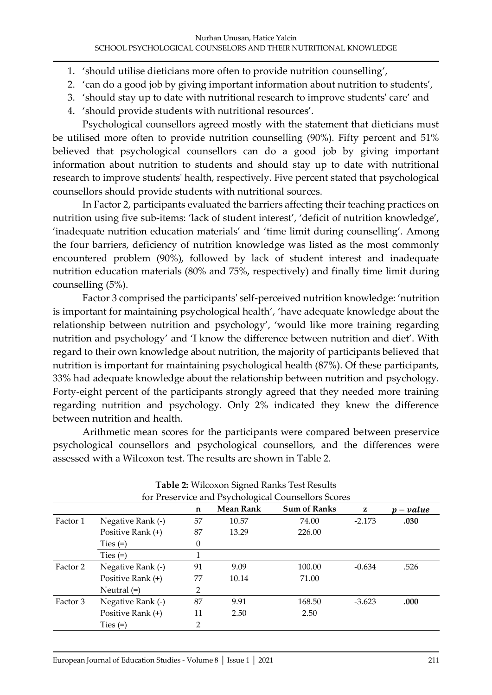- 1. 'should utilise dieticians more often to provide nutrition counselling',
- 2. 'can do a good job by giving important information about nutrition to students',
- 3. 'should stay up to date with nutritional research to improve students' care' and
- 4. 'should provide students with nutritional resources'.

Psychological counsellors agreed mostly with the statement that dieticians must be utilised more often to provide nutrition counselling (90%). Fifty percent and 51% believed that psychological counsellors can do a good job by giving important information about nutrition to students and should stay up to date with nutritional research to improve students' health, respectively. Five percent stated that psychological counsellors should provide students with nutritional sources.

In Factor 2, participants evaluated the barriers affecting their teaching practices on nutrition using five sub-items: 'lack of student interest', 'deficit of nutrition knowledge', 'inadequate nutrition education materials' and 'time limit during counselling'. Among the four barriers, deficiency of nutrition knowledge was listed as the most commonly encountered problem (90%), followed by lack of student interest and inadequate nutrition education materials (80% and 75%, respectively) and finally time limit during counselling (5%).

Factor 3 comprised the participants' self-perceived nutrition knowledge: 'nutrition is important for maintaining psychological health', 'have adequate knowledge about the relationship between nutrition and psychology', 'would like more training regarding nutrition and psychology' and 'I know the difference between nutrition and diet'. With regard to their own knowledge about nutrition, the majority of participants believed that nutrition is important for maintaining psychological health (87%). Of these participants, 33% had adequate knowledge about the relationship between nutrition and psychology. Forty-eight percent of the participants strongly agreed that they needed more training regarding nutrition and psychology. Only 2% indicated they knew the difference between nutrition and health.

Arithmetic mean scores for the participants were compared between preservice psychological counsellors and psychological counsellors, and the differences were assessed with a Wilcoxon test. The results are shown in Table 2.

|          |                   |          |                  | for Preservice and Psychological Counsellors Scores |          |           |
|----------|-------------------|----------|------------------|-----------------------------------------------------|----------|-----------|
|          |                   | n        | <b>Mean Rank</b> | <b>Sum of Ranks</b>                                 | z        | $p-value$ |
| Factor 1 | Negative Rank (-) | 57       | 10.57            | 74.00                                               | $-2.173$ | .030      |
|          | Positive Rank (+) | 87       | 13.29            | 226.00                                              |          |           |
|          | Ties $(=)$        | $\theta$ |                  |                                                     |          |           |
|          | Ties $(=)$        |          |                  |                                                     |          |           |
| Factor 2 | Negative Rank (-) | 91       | 9.09             | 100.00                                              | $-0.634$ | .526      |
|          | Positive Rank (+) | 77       | 10.14            | 71.00                                               |          |           |
|          | Neutral $(=)$     | 2        |                  |                                                     |          |           |
| Factor 3 | Negative Rank (-) | 87       | 9.91             | 168.50                                              | $-3.623$ | .000      |
|          | Positive Rank (+) | 11       | 2.50             | 2.50                                                |          |           |
|          | Ties $(=)$        | 2        |                  |                                                     |          |           |

| <b>Table 2: Wilcoxon Signed Ranks Test Results</b> |  |  |                |  |  |
|----------------------------------------------------|--|--|----------------|--|--|
|                                                    |  |  | $\blacksquare$ |  |  |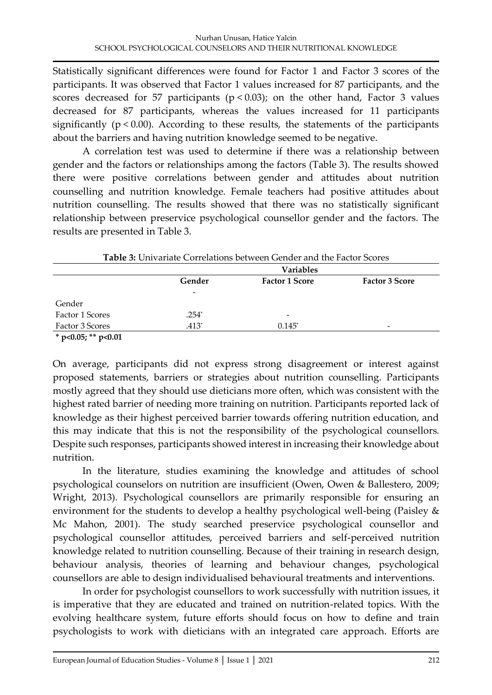Statistically significant differences were found for Factor 1 and Factor 3 scores of the participants. It was observed that Factor 1 values increased for 87 participants, and the scores decreased for 57 participants ( $p < 0.03$ ); on the other hand, Factor 3 values decreased for 87 participants, whereas the values increased for 11 participants significantly ( $p < 0.00$ ). According to these results, the statements of the participants about the barriers and having nutrition knowledge seemed to be negative.

A correlation test was used to determine if there was a relationship between gender and the factors or relationships among the factors (Table 3). The results showed there were positive correlations between gender and attitudes about nutrition counselling and nutrition knowledge. Female teachers had positive attitudes about nutrition counselling. The results showed that there was no statistically significant relationship between preservice psychological counsellor gender and the factors. The results are presented in Table 3.

|                           | <b>Table 3:</b> Univariate Correlations between Gender and the Factor Scores |                       |                       |  |  |
|---------------------------|------------------------------------------------------------------------------|-----------------------|-----------------------|--|--|
|                           |                                                                              | <b>Variables</b>      |                       |  |  |
|                           | Gender                                                                       | <b>Factor 1 Score</b> | <b>Factor 3 Score</b> |  |  |
|                           |                                                                              |                       |                       |  |  |
| Gender                    |                                                                              |                       |                       |  |  |
| Factor 1 Scores           | $.254*$                                                                      |                       |                       |  |  |
| Factor 3 Scores           | .413*                                                                        | $0.145^*$             |                       |  |  |
| $* - 0.05$ , $* * - 0.01$ |                                                                              |                       |                       |  |  |

**\* p<0.05; \*\* p<0.01**

On average, participants did not express strong disagreement or interest against proposed statements, barriers or strategies about nutrition counselling. Participants mostly agreed that they should use dieticians more often, which was consistent with the highest rated barrier of needing more training on nutrition. Participants reported lack of knowledge as their highest perceived barrier towards offering nutrition education, and this may indicate that this is not the responsibility of the psychological counsellors. Despite such responses, participants showed interest in increasing their knowledge about nutrition.

In the literature, studies examining the knowledge and attitudes of school psychological counselors on nutrition are insufficient (Owen, Owen & Ballestero, 2009; Wright, 2013). Psychological counsellors are primarily responsible for ensuring an environment for the students to develop a healthy psychological well-being (Paisley & Mc Mahon, 2001). The study searched preservice psychological counsellor and psychological counsellor attitudes, perceived barriers and self-perceived nutrition knowledge related to nutrition counselling. Because of their training in research design, behaviour analysis, theories of learning and behaviour changes, psychological counsellors are able to design individualised behavioural treatments and interventions.

In order for psychologist counsellors to work successfully with nutrition issues, it is imperative that they are educated and trained on nutrition-related topics. With the evolving healthcare system, future efforts should focus on how to define and train psychologists to work with dieticians with an integrated care approach. Efforts are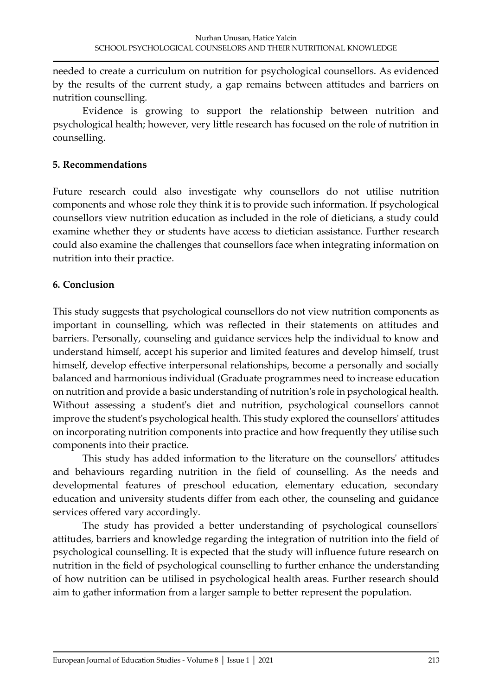needed to create a curriculum on nutrition for psychological counsellors. As evidenced by the results of the current study, a gap remains between attitudes and barriers on nutrition counselling.

Evidence is growing to support the relationship between nutrition and psychological health; however, very little research has focused on the role of nutrition in counselling.

#### **5. Recommendations**

Future research could also investigate why counsellors do not utilise nutrition components and whose role they think it is to provide such information. If psychological counsellors view nutrition education as included in the role of dieticians, a study could examine whether they or students have access to dietician assistance. Further research could also examine the challenges that counsellors face when integrating information on nutrition into their practice.

#### **6. Conclusion**

This study suggests that psychological counsellors do not view nutrition components as important in counselling, which was reflected in their statements on attitudes and barriers. Personally, counseling and guidance services help the individual to know and understand himself, accept his superior and limited features and develop himself, trust himself, develop effective interpersonal relationships, become a personally and socially balanced and harmonious individual (Graduate programmes need to increase education on nutrition and provide a basic understanding of nutrition's role in psychological health. Without assessing a student's diet and nutrition, psychological counsellors cannot improve the student's psychological health. This study explored the counsellors' attitudes on incorporating nutrition components into practice and how frequently they utilise such components into their practice.

This study has added information to the literature on the counsellors' attitudes and behaviours regarding nutrition in the field of counselling. As the needs and developmental features of preschool education, elementary education, secondary education and university students differ from each other, the counseling and guidance services offered vary accordingly.

The study has provided a better understanding of psychological counsellors' attitudes, barriers and knowledge regarding the integration of nutrition into the field of psychological counselling. It is expected that the study will influence future research on nutrition in the field of psychological counselling to further enhance the understanding of how nutrition can be utilised in psychological health areas. Further research should aim to gather information from a larger sample to better represent the population.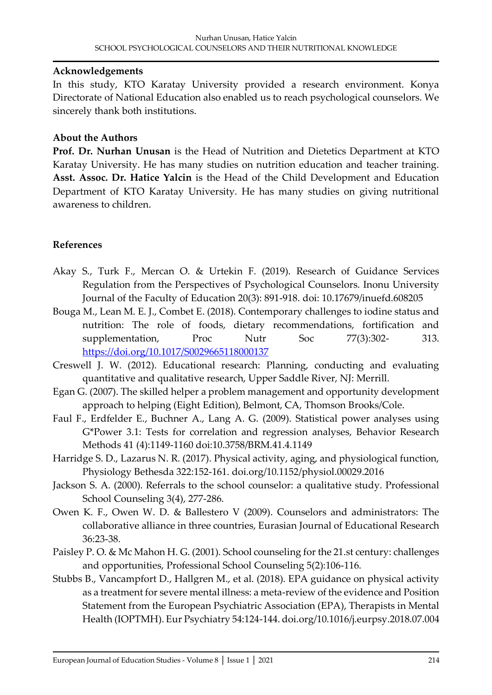#### **Acknowledgements**

In this study, KTO Karatay University provided a research environment. Konya Directorate of National Education also enabled us to reach psychological counselors. We sincerely thank both institutions.

## **About the Authors**

**Prof. Dr. Nurhan Unusan** is the Head of Nutrition and Dietetics Department at KTO Karatay University. He has many studies on nutrition education and teacher training. **Asst. Assoc. Dr. Hatice Yalcin** is the Head of the Child Development and Education Department of KTO Karatay University. He has many studies on giving nutritional awareness to children.

## **References**

- Akay S., Turk F., Mercan O. & Urtekin F. (2019). Research of Guidance Services Regulation from the Perspectives of Psychological Counselors. Inonu University Journal of the Faculty of Education 20(3): 891-918. doi: 10.17679/inuefd.608205
- Bouga M., Lean M. E. J., Combet E. (2018). Contemporary challenges to iodine status and nutrition: The role of foods, dietary recommendations, fortification and supplementation, Proc Nutr Soc 77(3):302- 313. <https://doi.org/10.1017/S0029665118000137>
- Creswell J. W. (2012). Educational research: Planning, conducting and evaluating quantitative and qualitative research, Upper Saddle River, NJ: Merrill.
- Egan G. (2007). The skilled helper a problem management and opportunity development approach to helping (Eight Edition), Belmont, CA, Thomson Brooks/Cole.
- Faul F., Erdfelder E., Buchner A., Lang A. G. (2009). Statistical power analyses using G\*Power 3.1: Tests for correlation and regression analyses, Behavior Research Methods 41 (4):1149-1160 doi:10.3758/BRM.41.4.1149
- Harridge S. D., Lazarus N. R. (2017). Physical activity, aging, and physiological function, Physiology Bethesda 322:152-161. doi.org/10.1152/physiol.00029.2016
- Jackson S. A. (2000). Referrals to the school counselor: a qualitative study. Professional School Counseling 3(4), 277-286.
- Owen K. F., Owen W. D. & Ballestero V (2009). Counselors and administrators: The collaborative alliance in three countries, Eurasian Journal of Educational Research 36:23-38.
- Paisley P. O. & Mc Mahon H. G. (2001). School counseling for the 21.st century: challenges and opportunities, Professional School Counseling 5(2):106-116.
- Stubbs B., Vancampfort D., Hallgren M., et al. (2018). EPA guidance on physical activity as a treatment for severe mental illness: a meta-review of the evidence and Position Statement from the European Psychiatric Association (EPA), Therapists in Mental Health (IOPTMH). Eur Psychiatry 54:124-144. doi.org/10.1016/j.eurpsy.2018.07.004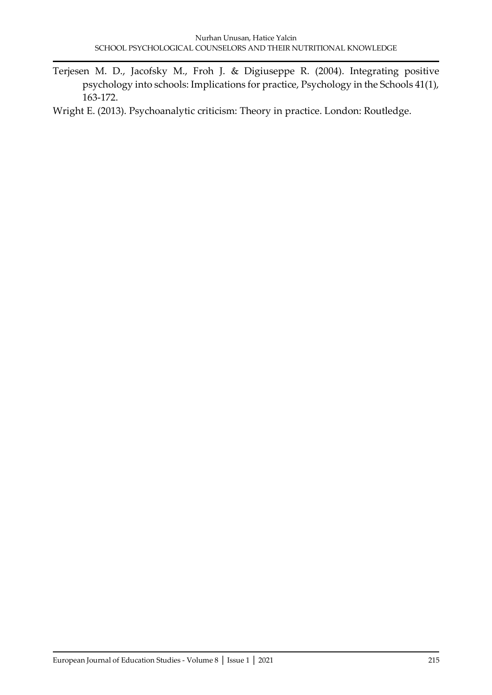Terjesen M. D., Jacofsky M., Froh J. & Digiuseppe R. (2004). Integrating positive psychology into schools: Implications for practice, Psychology in the Schools 41(1), 163-172.

Wright E. (2013). Psychoanalytic criticism: Theory in practice. London: Routledge.